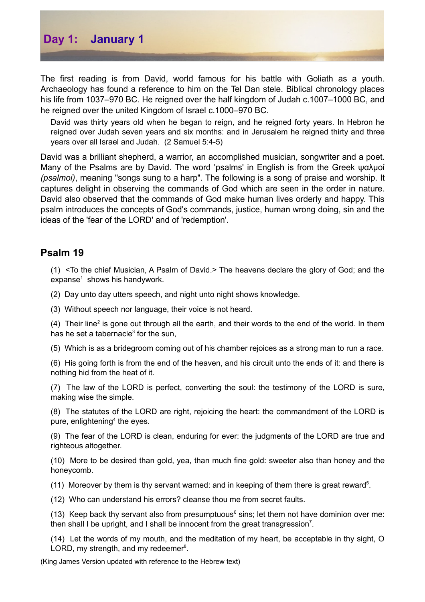

The first reading is from David, world famous for his battle with Goliath as a youth. Archaeology has found a reference to him on the Tel Dan stele. Biblical chronology places his life from 1037–970 BC. He reigned over the half kingdom of Judah c.1007–1000 BC, and he reigned over the united Kingdom of Israel c.1000–970 BC.

David was thirty years old when he began to reign, and he reigned forty years. In Hebron he reigned over Judah seven years and six months: and in Jerusalem he reigned thirty and three years over all Israel and Judah. (2 Samuel 5:4-5)

David was a brilliant shepherd, a warrior, an accomplished musician, songwriter and a poet. Many of the Psalms are by David. The word 'psalms' in English is from the Greek ψαλμοί *(psalmoi)*, meaning "songs sung to a harp". The following is a song of praise and worship. It captures delight in observing the commands of God which are seen in the order in nature. David also observed that the commands of God make human lives orderly and happy. This psalm introduces the concepts of God's commands, justice, human wrong doing, sin and the ideas of the 'fear of the LORD' and of 'redemption'.

## **Psalm 19**

(1) <To the chief Musician, A Psalm of David.> The heavens declare the glory of God; and the expanse $<sup>1</sup>$  $<sup>1</sup>$  $<sup>1</sup>$  shows his handywork.</sup>

(2) Day unto day utters speech, and night unto night shows knowledge.

(3) Without speech nor language, their voice is not heard.

(4) Their line<sup>[2](#page-1-1)</sup> is gone out through all the earth, and their words to the end of the world. In them has he set a tabernacle<sup>[3](#page-1-2)</sup> for the sun,

(5) Which is as a bridegroom coming out of his chamber rejoices as a strong man to run a race.

(6) His going forth is from the end of the heaven, and his circuit unto the ends of it: and there is nothing hid from the heat of it.

(7) The law of the LORD is perfect, converting the soul: the testimony of the LORD is sure, making wise the simple.

(8) The statutes of the LORD are right, rejoicing the heart: the commandment of the LORD is pure, enlightening<sup>[4](#page-1-3)</sup> the eyes.

(9) The fear of the LORD is clean, enduring for ever: the judgments of the LORD are true and righteous altogether.

(10) More to be desired than gold, yea, than much fine gold: sweeter also than honey and the honeycomb.

(11) Moreover by them is thy servant warned: and in keeping of them there is great reward<sup>[5](#page-1-4)</sup>.

(12) Who can understand his errors? cleanse thou me from secret faults.

(13) Keep back thy servant also from presumptuous<sup>[6](#page-1-5)</sup> sins; let them not have dominion over me: then shall I be upright, and I shall be innocent from the great transgression<sup>[7](#page-1-6)</sup>.

(14) Let the words of my mouth, and the meditation of my heart, be acceptable in thy sight, O LORD, my strength, and my redeemer<sup>[8](#page-1-7)</sup>.

(King James Version updated with reference to the Hebrew text)